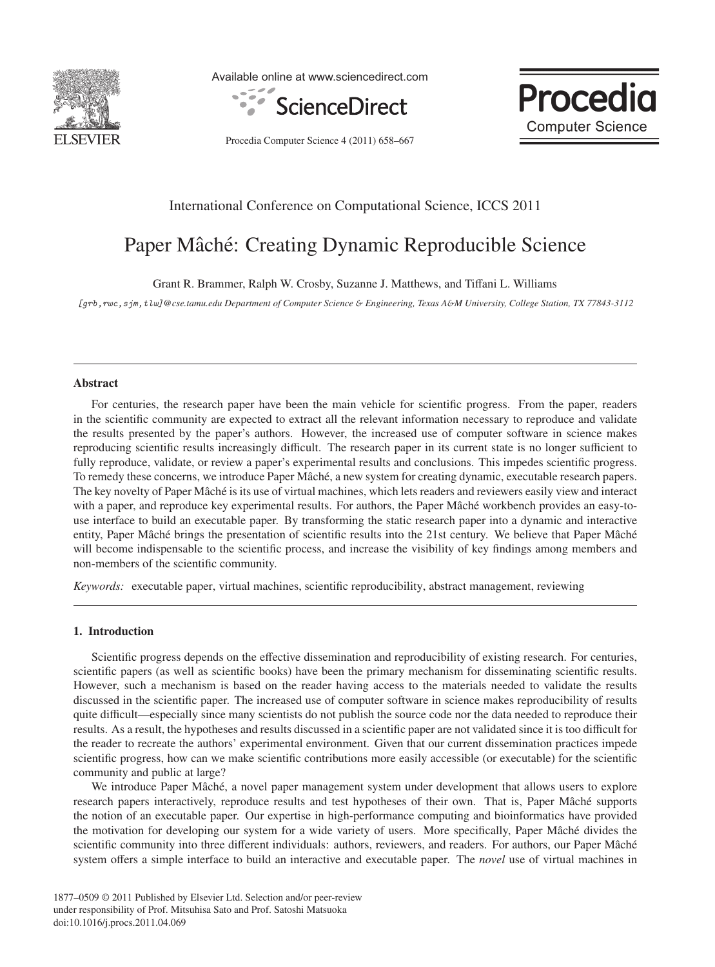

Available online at www.sciencedirect.com





Procedia Computer Science 4 (2011) 658–667

# International Conference on Computational Science, ICCS 2011

# Paper Mâché: Creating Dynamic Reproducible Science

Grant R. Brammer, Ralph W. Crosby, Suzanne J. Matthews, and Tiffani L. Williams

[grb,rwc,sjm,tlw]*@cse.tamu.edu Department of Computer Science* & *Engineering, Texas A*&*M University, College Station, TX 77843-3112*

# Abstract

For centuries, the research paper have been the main vehicle for scientific progress. From the paper, readers in the scientific community are expected to extract all the relevant information necessary to reproduce and validate the results presented by the paper's authors. However, the increased use of computer software in science makes reproducing scientific results increasingly difficult. The research paper in its current state is no longer sufficient to fully reproduce, validate, or review a paper's experimental results and conclusions. This impedes scientific progress. To remedy these concerns, we introduce Paper Mâché, a new system for creating dynamic, executable research papers. The key novelty of Paper Mâché is its use of virtual machines, which lets readers and reviewers easily view and interact with a paper, and reproduce key experimental results. For authors, the Paper Mâché workbench provides an easy-touse interface to build an executable paper. By transforming the static research paper into a dynamic and interactive entity, Paper Mâché brings the presentation of scientific results into the 21st century. We believe that Paper Mâché will become indispensable to the scientific process, and increase the visibility of key findings among members and non-members of the scientific community.

*Keywords:* executable paper, virtual machines, scientific reproducibility, abstract management, reviewing

# 1. Introduction

Scientific progress depends on the effective dissemination and reproducibility of existing research. For centuries, scientific papers (as well as scientific books) have been the primary mechanism for disseminating scientific results. However, such a mechanism is based on the reader having access to the materials needed to validate the results discussed in the scientific paper. The increased use of computer software in science makes reproducibility of results quite difficult—especially since many scientists do not publish the source code nor the data needed to reproduce their results. As a result, the hypotheses and results discussed in a scientific paper are not validated since it is too difficult for the reader to recreate the authors' experimental environment. Given that our current dissemination practices impede scientific progress, how can we make scientific contributions more easily accessible (or executable) for the scientific community and public at large?

We introduce Paper Mâché, a novel paper management system under development that allows users to explore research papers interactively, reproduce results and test hypotheses of their own. That is, Paper Mâché supports the notion of an executable paper. Our expertise in high-performance computing and bioinformatics have provided the motivation for developing our system for a wide variety of users. More specifically, Paper Mâché divides the scientific community into three different individuals: authors, reviewers, and readers. For authors, our Paper Mâché system offers a simple interface to build an interactive and executable paper. The *novel* use of virtual machines in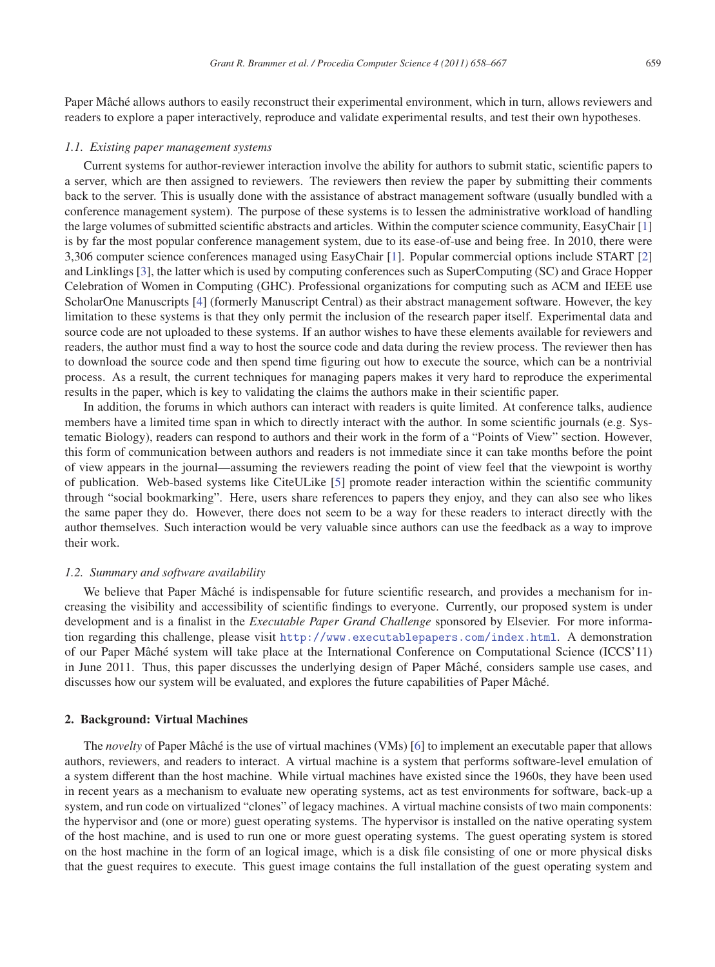Paper Mâché allows authors to easily reconstruct their experimental environment, which in turn, allows reviewers and readers to explore a paper interactively, reproduce and validate experimental results, and test their own hypotheses.

#### *1.1. Existing paper management systems*

Current systems for author-reviewer interaction involve the ability for authors to submit static, scientific papers to a server, which are then assigned to reviewers. The reviewers then review the paper by submitting their comments back to the server. This is usually done with the assistance of abstract management software (usually bundled with a conference management system). The purpose of these systems is to lessen the administrative workload of handling the large volumes of submitted scientific abstracts and articles. Within the computer science community, EasyChair [1] is by far the most popular conference management system, due to its ease-of-use and being free. In 2010, there were 3,306 computer science conferences managed using EasyChair [1]. Popular commercial options include START [2] and Linklings [3], the latter which is used by computing conferences such as SuperComputing (SC) and Grace Hopper Celebration of Women in Computing (GHC). Professional organizations for computing such as ACM and IEEE use ScholarOne Manuscripts [4] (formerly Manuscript Central) as their abstract management software. However, the key limitation to these systems is that they only permit the inclusion of the research paper itself. Experimental data and source code are not uploaded to these systems. If an author wishes to have these elements available for reviewers and readers, the author must find a way to host the source code and data during the review process. The reviewer then has to download the source code and then spend time figuring out how to execute the source, which can be a nontrivial process. As a result, the current techniques for managing papers makes it very hard to reproduce the experimental results in the paper, which is key to validating the claims the authors make in their scientific paper.

In addition, the forums in which authors can interact with readers is quite limited. At conference talks, audience members have a limited time span in which to directly interact with the author. In some scientific journals (e.g. Systematic Biology), readers can respond to authors and their work in the form of a "Points of View" section. However, this form of communication between authors and readers is not immediate since it can take months before the point of view appears in the journal—assuming the reviewers reading the point of view feel that the viewpoint is worthy of publication. Web-based systems like CiteULike [5] promote reader interaction within the scientific community through "social bookmarking". Here, users share references to papers they enjoy, and they can also see who likes the same paper they do. However, there does not seem to be a way for these readers to interact directly with the author themselves. Such interaction would be very valuable since authors can use the feedback as a way to improve their work.

#### *1.2. Summary and software availability*

We believe that Paper Mâché is indispensable for future scientific research, and provides a mechanism for increasing the visibility and accessibility of scientific findings to everyone. Currently, our proposed system is under development and is a finalist in the *Executable Paper Grand Challenge* sponsored by Elsevier. For more information regarding this challenge, please visit http://www.executablepapers.com/index.html. A demonstration of our Paper Mâché system will take place at the International Conference on Computational Science (ICCS'11) in June 2011. Thus, this paper discusses the underlying design of Paper Mâché, considers sample use cases, and discusses how our system will be evaluated, and explores the future capabilities of Paper Mâché.

# 2. Background: Virtual Machines

The *novelty* of Paper Mâché is the use of virtual machines (VMs) [6] to implement an executable paper that allows authors, reviewers, and readers to interact. A virtual machine is a system that performs software-level emulation of a system different than the host machine. While virtual machines have existed since the 1960s, they have been used in recent years as a mechanism to evaluate new operating systems, act as test environments for software, back-up a system, and run code on virtualized "clones" of legacy machines. A virtual machine consists of two main components: the hypervisor and (one or more) guest operating systems. The hypervisor is installed on the native operating system of the host machine, and is used to run one or more guest operating systems. The guest operating system is stored on the host machine in the form of an logical image, which is a disk file consisting of one or more physical disks that the guest requires to execute. This guest image contains the full installation of the guest operating system and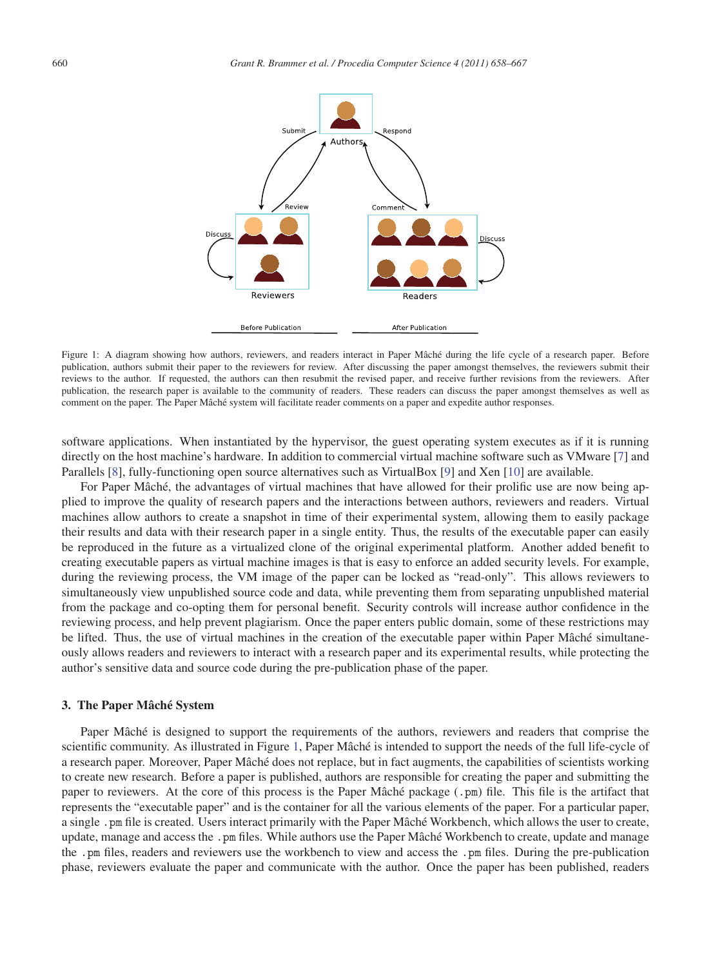

Figure 1: A diagram showing how authors, reviewers, and readers interact in Paper Mâché during the life cycle of a research paper. Before publication, authors submit their paper to the reviewers for review. After discussing the paper amongst themselves, the reviewers submit their reviews to the author. If requested, the authors can then resubmit the revised paper, and receive further revisions from the reviewers. After publication, the research paper is available to the community of readers. These readers can discuss the paper amongst themselves as well as comment on the paper. The Paper Mâché system will facilitate reader comments on a paper and expedite author responses.

software applications. When instantiated by the hypervisor, the guest operating system executes as if it is running directly on the host machine's hardware. In addition to commercial virtual machine software such as VMware [7] and Parallels [8], fully-functioning open source alternatives such as VirtualBox [9] and Xen [10] are available.

For Paper Mâché, the advantages of virtual machines that have allowed for their prolific use are now being applied to improve the quality of research papers and the interactions between authors, reviewers and readers. Virtual machines allow authors to create a snapshot in time of their experimental system, allowing them to easily package their results and data with their research paper in a single entity. Thus, the results of the executable paper can easily be reproduced in the future as a virtualized clone of the original experimental platform. Another added benefit to creating executable papers as virtual machine images is that is easy to enforce an added security levels. For example, during the reviewing process, the VM image of the paper can be locked as "read-only". This allows reviewers to simultaneously view unpublished source code and data, while preventing them from separating unpublished material from the package and co-opting them for personal benefit. Security controls will increase author confidence in the reviewing process, and help prevent plagiarism. Once the paper enters public domain, some of these restrictions may be lifted. Thus, the use of virtual machines in the creation of the executable paper within Paper Mâché simultaneously allows readers and reviewers to interact with a research paper and its experimental results, while protecting the author's sensitive data and source code during the pre-publication phase of the paper.

# 3. The Paper Mâché System

Paper Mâché is designed to support the requirements of the authors, reviewers and readers that comprise the scientific community. As illustrated in Figure 1, Paper Mâché is intended to support the needs of the full life-cycle of a research paper. Moreover, Paper Mâché does not replace, but in fact augments, the capabilities of scientists working to create new research. Before a paper is published, authors are responsible for creating the paper and submitting the paper to reviewers. At the core of this process is the Paper Mâché package  $(\cdot, \text{pm})$  file. This file is the artifact that represents the "executable paper" and is the container for all the various elements of the paper. For a particular paper, a single . pm file is created. Users interact primarily with the Paper Mâché Workbench, which allows the user to create, update, manage and access the .pm files. While authors use the Paper Mâché Workbench to create, update and manage the .pm files, readers and reviewers use the workbench to view and access the .pm files. During the pre-publication phase, reviewers evaluate the paper and communicate with the author. Once the paper has been published, readers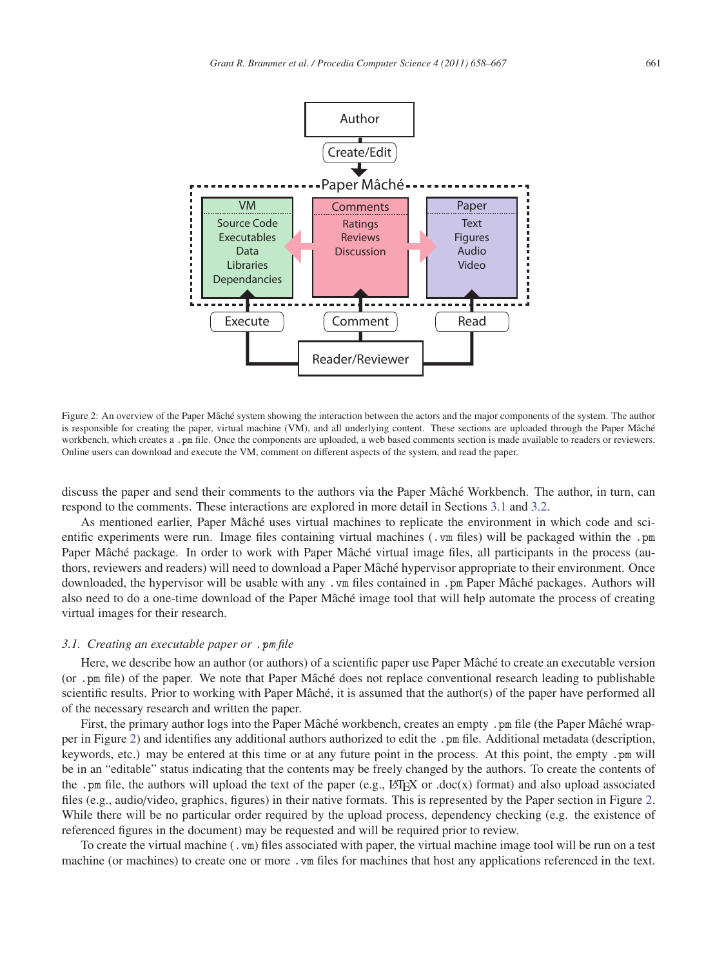

Figure 2: An overview of the Paper Mâché system showing the interaction between the actors and the major components of the system. The author is responsible for creating the paper, virtual machine (VM), and all underlying content. These sections are uploaded through the Paper Mâché workbench, which creates a .pm file. Once the components are uploaded, a web based comments section is made available to readers or reviewers. Online users can download and execute the VM, comment on different aspects of the system, and read the paper.

discuss the paper and send their comments to the authors via the Paper Mâché Workbench. The author, in turn, can respond to the comments. These interactions are explored in more detail in Sections 3.1 and 3.2.

As mentioned earlier, Paper Mâché uses virtual machines to replicate the environment in which code and scientific experiments were run. Image files containing virtual machines (.vm files) will be packaged within the .pm Paper Mâché package. In order to work with Paper Mâché virtual image files, all participants in the process (authors, reviewers and readers) will need to download a Paper Mâché hypervisor appropriate to their environment. Once downloaded, the hypervisor will be usable with any .vm files contained in .pm Paper Mâché packages. Authors will also need to do a one-time download of the Paper Mâché image tool that will help automate the process of creating virtual images for their research.

### *3.1. Creating an executable paper or* .pm *file*

Here, we describe how an author (or authors) of a scientific paper use Paper Mâché to create an executable version (or .pm file) of the paper. We note that Paper Mâché does not replace conventional research leading to publishable scientific results. Prior to working with Paper Mâché, it is assumed that the author(s) of the paper have performed all of the necessary research and written the paper.

First, the primary author logs into the Paper Mâché workbench, creates an empty .pm file (the Paper Mâché wrapper in Figure 2) and identifies any additional authors authorized to edit the .pm file. Additional metadata (description, keywords, etc.) may be entered at this time or at any future point in the process. At this point, the empty .pm will be in an "editable" status indicating that the contents may be freely changed by the authors. To create the contents of the .pm file, the authors will upload the text of the paper (e.g.,  $\mathbb{E} \text{Tr} X$  or .doc(x) format) and also upload associated files (e.g., audio/video, graphics, figures) in their native formats. This is represented by the Paper section in Figure 2. While there will be no particular order required by the upload process, dependency checking (e.g. the existence of referenced figures in the document) may be requested and will be required prior to review.

To create the virtual machine (.vm) files associated with paper, the virtual machine image tool will be run on a test machine (or machines) to create one or more .vm files for machines that host any applications referenced in the text.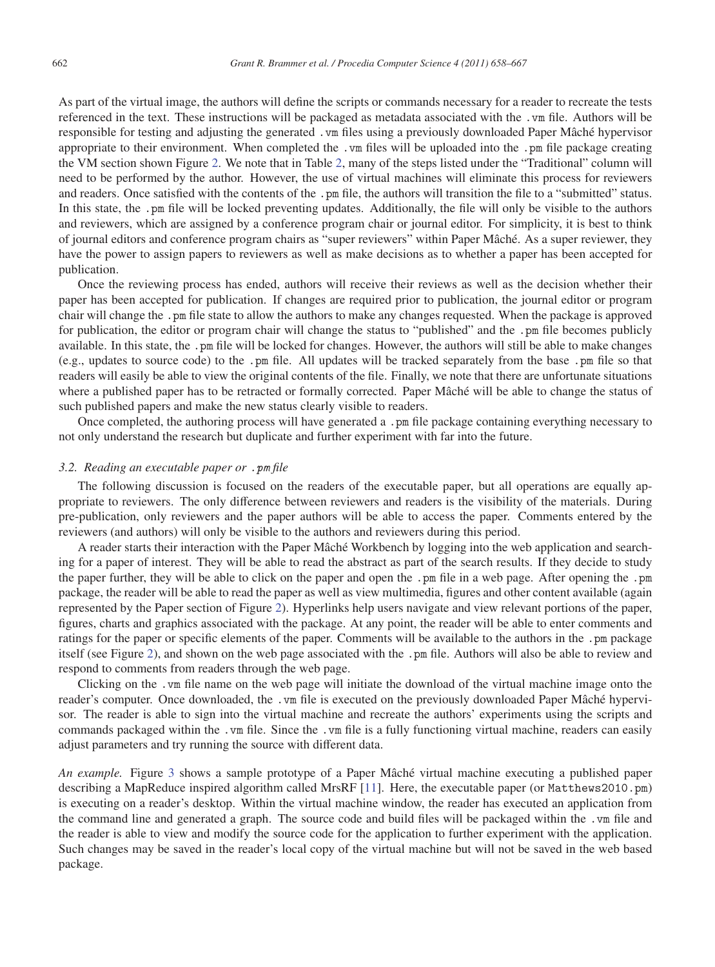As part of the virtual image, the authors will define the scripts or commands necessary for a reader to recreate the tests referenced in the text. These instructions will be packaged as metadata associated with the .vm file. Authors will be responsible for testing and adjusting the generated . vm files using a previously downloaded Paper Mâché hypervisor appropriate to their environment. When completed the .vm files will be uploaded into the .pm file package creating the VM section shown Figure 2. We note that in Table 2, many of the steps listed under the "Traditional" column will need to be performed by the author. However, the use of virtual machines will eliminate this process for reviewers and readers. Once satisfied with the contents of the . pm file, the authors will transition the file to a "submitted" status. In this state, the .pm file will be locked preventing updates. Additionally, the file will only be visible to the authors and reviewers, which are assigned by a conference program chair or journal editor. For simplicity, it is best to think of journal editors and conference program chairs as "super reviewers" within Paper Mâché. As a super reviewer, they have the power to assign papers to reviewers as well as make decisions as to whether a paper has been accepted for publication.

Once the reviewing process has ended, authors will receive their reviews as well as the decision whether their paper has been accepted for publication. If changes are required prior to publication, the journal editor or program chair will change the .pm file state to allow the authors to make any changes requested. When the package is approved for publication, the editor or program chair will change the status to "published" and the .pm file becomes publicly available. In this state, the .pm file will be locked for changes. However, the authors will still be able to make changes (e.g., updates to source code) to the .pm file. All updates will be tracked separately from the base .pm file so that readers will easily be able to view the original contents of the file. Finally, we note that there are unfortunate situations where a published paper has to be retracted or formally corrected. Paper Mâché will be able to change the status of such published papers and make the new status clearly visible to readers.

Once completed, the authoring process will have generated a . pm file package containing everything necessary to not only understand the research but duplicate and further experiment with far into the future.

# *3.2. Reading an executable paper or* .pm *file*

The following discussion is focused on the readers of the executable paper, but all operations are equally appropriate to reviewers. The only difference between reviewers and readers is the visibility of the materials. During pre-publication, only reviewers and the paper authors will be able to access the paper. Comments entered by the reviewers (and authors) will only be visible to the authors and reviewers during this period.

A reader starts their interaction with the Paper Mâché Workbench by logging into the web application and searching for a paper of interest. They will be able to read the abstract as part of the search results. If they decide to study the paper further, they will be able to click on the paper and open the .pm file in a web page. After opening the .pm package, the reader will be able to read the paper as well as view multimedia, figures and other content available (again represented by the Paper section of Figure 2). Hyperlinks help users navigate and view relevant portions of the paper, figures, charts and graphics associated with the package. At any point, the reader will be able to enter comments and ratings for the paper or specific elements of the paper. Comments will be available to the authors in the .pm package itself (see Figure 2), and shown on the web page associated with the .pm file. Authors will also be able to review and respond to comments from readers through the web page.

Clicking on the .vm file name on the web page will initiate the download of the virtual machine image onto the reader's computer. Once downloaded, the .vm file is executed on the previously downloaded Paper Mâché hypervisor. The reader is able to sign into the virtual machine and recreate the authors' experiments using the scripts and commands packaged within the .vm file. Since the .vm file is a fully functioning virtual machine, readers can easily adjust parameters and try running the source with different data.

*An example.* Figure 3 shows a sample prototype of a Paper Mâché virtual machine executing a published paper describing a MapReduce inspired algorithm called MrsRF [11]. Here, the executable paper (or Matthews2010.pm) is executing on a reader's desktop. Within the virtual machine window, the reader has executed an application from the command line and generated a graph. The source code and build files will be packaged within the .vm file and the reader is able to view and modify the source code for the application to further experiment with the application. Such changes may be saved in the reader's local copy of the virtual machine but will not be saved in the web based package.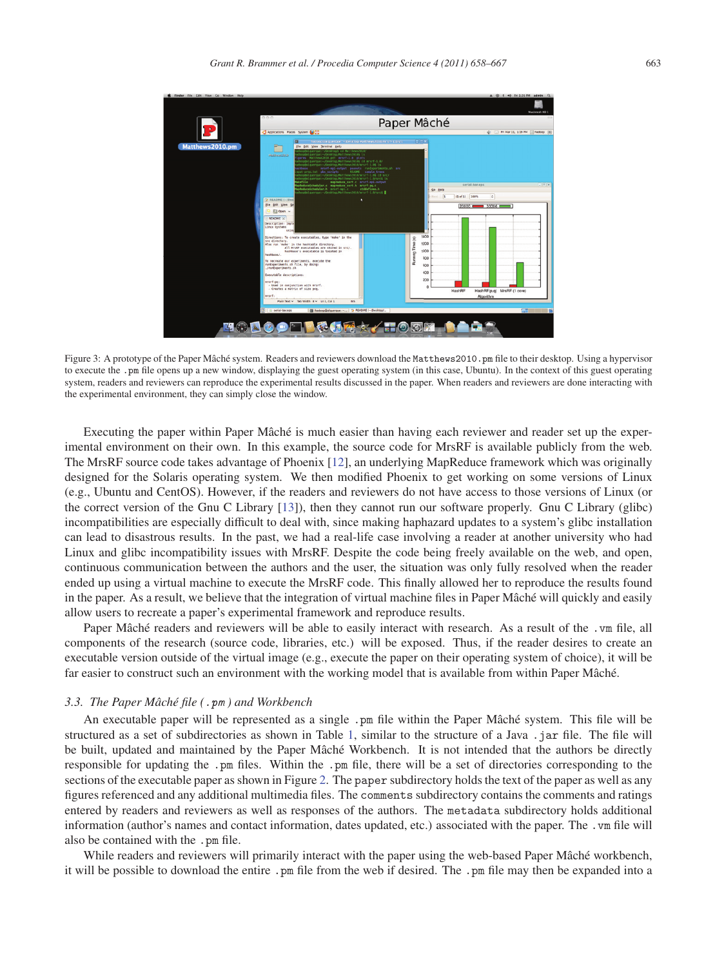

Figure 3: A prototype of the Paper Mâché system. Readers and reviewers download the Matthews2010.pm file to their desktop. Using a hypervisor to execute the .pm file opens up a new window, displaying the guest operating system (in this case, Ubuntu). In the context of this guest operating system, readers and reviewers can reproduce the experimental results discussed in the paper. When readers and reviewers are done interacting with the experimental environment, they can simply close the window.

Executing the paper within Paper Mâché is much easier than having each reviewer and reader set up the experimental environment on their own. In this example, the source code for MrsRF is available publicly from the web. The MrsRF source code takes advantage of Phoenix [12], an underlying MapReduce framework which was originally designed for the Solaris operating system. We then modified Phoenix to get working on some versions of Linux (e.g., Ubuntu and CentOS). However, if the readers and reviewers do not have access to those versions of Linux (or the correct version of the Gnu C Library [13]), then they cannot run our software properly. Gnu C Library (glibc) incompatibilities are especially difficult to deal with, since making haphazard updates to a system's glibc installation can lead to disastrous results. In the past, we had a real-life case involving a reader at another university who had Linux and glibc incompatibility issues with MrsRF. Despite the code being freely available on the web, and open, continuous communication between the authors and the user, the situation was only fully resolved when the reader ended up using a virtual machine to execute the MrsRF code. This finally allowed her to reproduce the results found in the paper. As a result, we believe that the integration of virtual machine files in Paper Mâch é will quickly and easily allow users to recreate a paper's experimental framework and reproduce results.

Paper Mâché readers and reviewers will be able to easily interact with research. As a result of the .vm file, all components of the research (source code, libraries, etc.) will be exposed. Thus, if the reader desires to create an executable version outside of the virtual image (e.g., execute the paper on their operating system of choice), it will be far easier to construct such an environment with the working model that is available from within Paper Mâché.

#### *3.3. The Paper M ˆach´e file (*.pm *) and Workbench*

An executable paper will be represented as a single .pm file within the Paper Mâché system. This file will be structured as a set of subdirectories as shown in Table 1, similar to the structure of a Java .jar file. The file will be built, updated and maintained by the Paper Mâché Workbench. It is not intended that the authors be directly responsible for updating the .pm files. Within the .pm file, there will be a set of directories corresponding to the sections of the executable paper as shown in Figure 2. The paper subdirectory holds the text of the paper as well as any figures referenced and any additional multimedia files. The comments subdirectory contains the comments and ratings entered by readers and reviewers as well as responses of the authors. The metadata subdirectory holds additional information (author's names and contact information, dates updated, etc.) associated with the paper. The .vm file will also be contained with the .pm file.

While readers and reviewers will primarily interact with the paper using the web-based Paper Mâché workbench, it will be possible to download the entire . pm file from the web if desired. The . pm file may then be expanded into a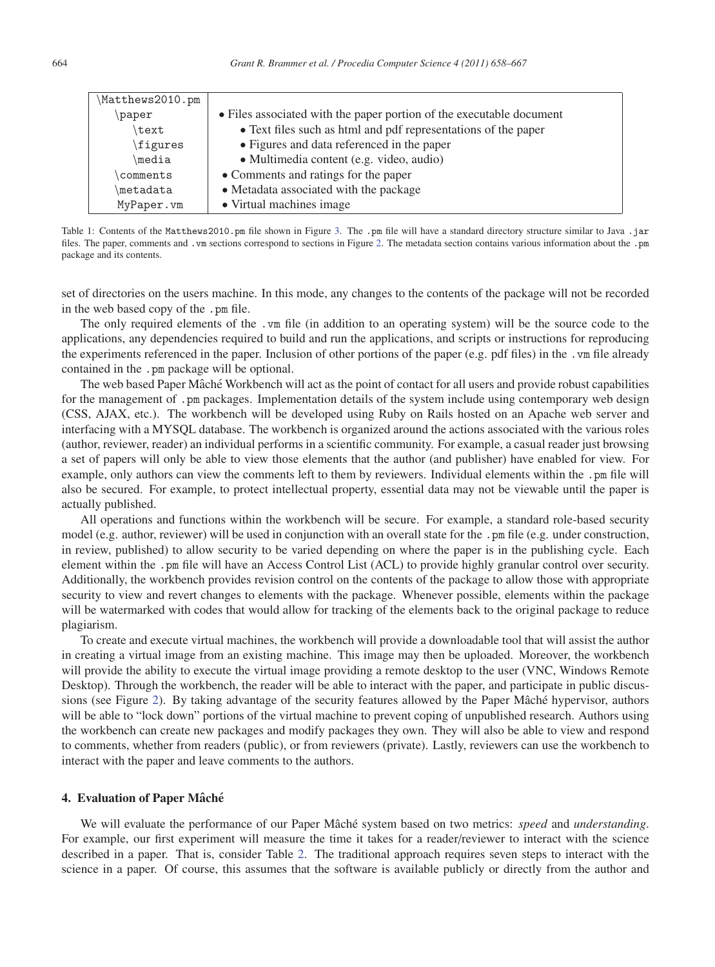| Matthews2010.pm |                                                                      |
|-----------------|----------------------------------------------------------------------|
| paper           | • Files associated with the paper portion of the executable document |
| text            | • Text files such as html and pdf representations of the paper       |
| \figures        | • Figures and data referenced in the paper                           |
| \media          | · Multimedia content (e.g. video, audio)                             |
| comments        | • Comments and ratings for the paper                                 |
| metadata        | • Metadata associated with the package                               |
| MyPaper.vm      | • Virtual machines image                                             |

Table 1: Contents of the Matthews2010.pm file shown in Figure 3. The .pm file will have a standard directory structure similar to Java .jar files. The paper, comments and .vm sections correspond to sections in Figure 2. The metadata section contains various information about the .pm package and its contents.

set of directories on the users machine. In this mode, any changes to the contents of the package will not be recorded in the web based copy of the .pm file.

The only required elements of the .vm file (in addition to an operating system) will be the source code to the applications, any dependencies required to build and run the applications, and scripts or instructions for reproducing the experiments referenced in the paper. Inclusion of other portions of the paper (e.g. pdf files) in the .vm file already contained in the .pm package will be optional.

The web based Paper Mâché Workbench will act as the point of contact for all users and provide robust capabilities for the management of .pm packages. Implementation details of the system include using contemporary web design (CSS, AJAX, etc.). The workbench will be developed using Ruby on Rails hosted on an Apache web server and interfacing with a MYSQL database. The workbench is organized around the actions associated with the various roles (author, reviewer, reader) an individual performs in a scientific community. For example, a casual reader just browsing a set of papers will only be able to view those elements that the author (and publisher) have enabled for view. For example, only authors can view the comments left to them by reviewers. Individual elements within the .pm file will also be secured. For example, to protect intellectual property, essential data may not be viewable until the paper is actually published.

All operations and functions within the workbench will be secure. For example, a standard role-based security model (e.g. author, reviewer) will be used in conjunction with an overall state for the .pm file (e.g. under construction, in review, published) to allow security to be varied depending on where the paper is in the publishing cycle. Each element within the .pm file will have an Access Control List (ACL) to provide highly granular control over security. Additionally, the workbench provides revision control on the contents of the package to allow those with appropriate security to view and revert changes to elements with the package. Whenever possible, elements within the package will be watermarked with codes that would allow for tracking of the elements back to the original package to reduce plagiarism.

To create and execute virtual machines, the workbench will provide a downloadable tool that will assist the author in creating a virtual image from an existing machine. This image may then be uploaded. Moreover, the workbench will provide the ability to execute the virtual image providing a remote desktop to the user (VNC, Windows Remote Desktop). Through the workbench, the reader will be able to interact with the paper, and participate in public discussions (see Figure 2). By taking advantage of the security features allowed by the Paper Mâché hypervisor, authors will be able to "lock down" portions of the virtual machine to prevent coping of unpublished research. Authors using the workbench can create new packages and modify packages they own. They will also be able to view and respond to comments, whether from readers (public), or from reviewers (private). Lastly, reviewers can use the workbench to interact with the paper and leave comments to the authors.

# 4. Evaluation of Paper Mâché

We will evaluate the performance of our Paper Mâché system based on two metrics: *speed* and *understanding*. For example, our first experiment will measure the time it takes for a reader/reviewer to interact with the science described in a paper. That is, consider Table 2. The traditional approach requires seven steps to interact with the science in a paper. Of course, this assumes that the software is available publicly or directly from the author and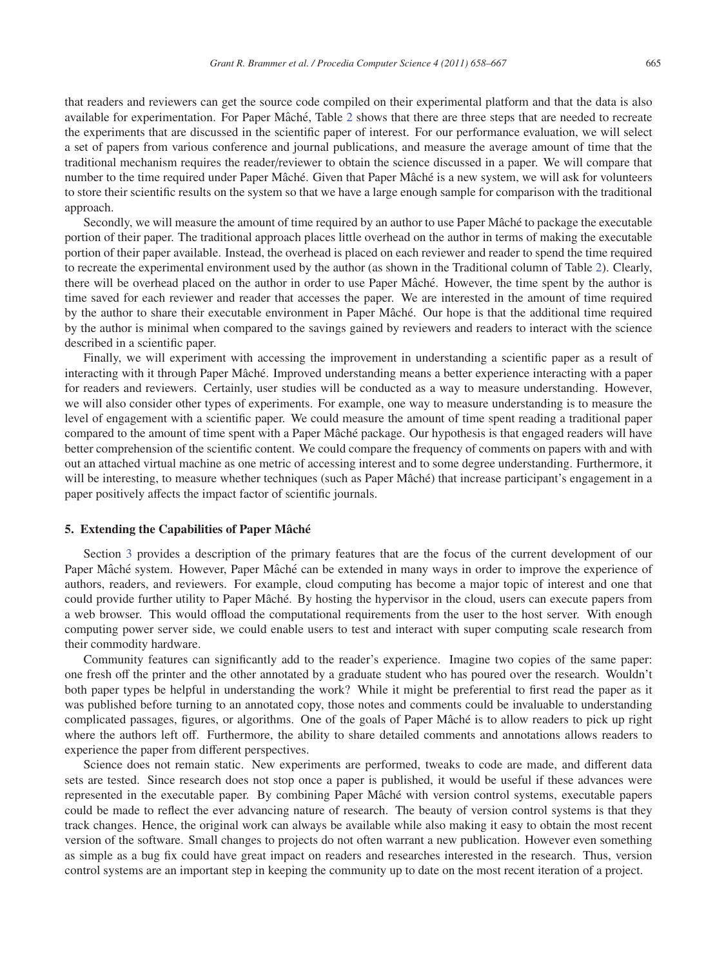that readers and reviewers can get the source code compiled on their experimental platform and that the data is also available for experimentation. For Paper Mâché, Table 2 shows that there are three steps that are needed to recreate the experiments that are discussed in the scientific paper of interest. For our performance evaluation, we will select a set of papers from various conference and journal publications, and measure the average amount of time that the traditional mechanism requires the reader/reviewer to obtain the science discussed in a paper. We will compare that number to the time required under Paper Mâché. Given that Paper Mâché is a new system, we will ask for volunteers to store their scientific results on the system so that we have a large enough sample for comparison with the traditional approach.

Secondly, we will measure the amount of time required by an author to use Paper Mâché to package the executable portion of their paper. The traditional approach places little overhead on the author in terms of making the executable portion of their paper available. Instead, the overhead is placed on each reviewer and reader to spend the time required to recreate the experimental environment used by the author (as shown in the Traditional column of Table 2). Clearly, there will be overhead placed on the author in order to use Paper Mâché. However, the time spent by the author is time saved for each reviewer and reader that accesses the paper. We are interested in the amount of time required by the author to share their executable environment in Paper Mâché. Our hope is that the additional time required by the author is minimal when compared to the savings gained by reviewers and readers to interact with the science described in a scientific paper.

Finally, we will experiment with accessing the improvement in understanding a scientific paper as a result of interacting with it through Paper Mâché. Improved understanding means a better experience interacting with a paper for readers and reviewers. Certainly, user studies will be conducted as a way to measure understanding. However, we will also consider other types of experiments. For example, one way to measure understanding is to measure the level of engagement with a scientific paper. We could measure the amount of time spent reading a traditional paper compared to the amount of time spent with a Paper Mâché package. Our hypothesis is that engaged readers will have better comprehension of the scientific content. We could compare the frequency of comments on papers with and with out an attached virtual machine as one metric of accessing interest and to some degree understanding. Furthermore, it will be interesting, to measure whether techniques (such as Paper Mâché) that increase participant's engagement in a paper positively affects the impact factor of scientific journals.

# 5. Extending the Capabilities of Paper Mâché

Section 3 provides a description of the primary features that are the focus of the current development of our Paper Mâché system. However, Paper Mâché can be extended in many ways in order to improve the experience of authors, readers, and reviewers. For example, cloud computing has become a major topic of interest and one that could provide further utility to Paper Mâché. By hosting the hypervisor in the cloud, users can execute papers from a web browser. This would offload the computational requirements from the user to the host server. With enough computing power server side, we could enable users to test and interact with super computing scale research from their commodity hardware.

Community features can significantly add to the reader's experience. Imagine two copies of the same paper: one fresh off the printer and the other annotated by a graduate student who has poured over the research. Wouldn't both paper types be helpful in understanding the work? While it might be preferential to first read the paper as it was published before turning to an annotated copy, those notes and comments could be invaluable to understanding complicated passages, figures, or algorithms. One of the goals of Paper Mâché is to allow readers to pick up right where the authors left off. Furthermore, the ability to share detailed comments and annotations allows readers to experience the paper from different perspectives.

Science does not remain static. New experiments are performed, tweaks to code are made, and different data sets are tested. Since research does not stop once a paper is published, it would be useful if these advances were represented in the executable paper. By combining Paper Mâché with version control systems, executable papers could be made to reflect the ever advancing nature of research. The beauty of version control systems is that they track changes. Hence, the original work can always be available while also making it easy to obtain the most recent version of the software. Small changes to projects do not often warrant a new publication. However even something as simple as a bug fix could have great impact on readers and researches interested in the research. Thus, version control systems are an important step in keeping the community up to date on the most recent iteration of a project.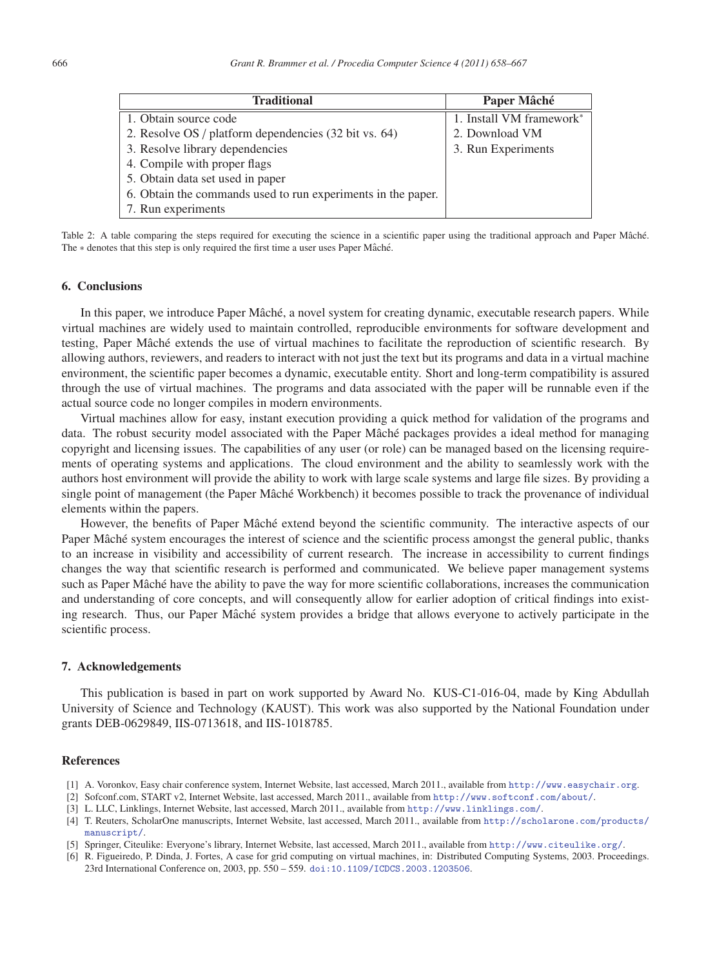| <b>Traditional</b>                                           | Paper Mâché                          |
|--------------------------------------------------------------|--------------------------------------|
| 1. Obtain source code                                        | 1. Install VM framework <sup>*</sup> |
| 2. Resolve OS / platform dependencies (32 bit vs. 64)        | 2. Download VM                       |
| 3. Resolve library dependencies                              | 3. Run Experiments                   |
| 4. Compile with proper flags                                 |                                      |
| 5. Obtain data set used in paper                             |                                      |
| 6. Obtain the commands used to run experiments in the paper. |                                      |
| 7. Run experiments                                           |                                      |

Table 2: A table comparing the steps required for executing the science in a scientific paper using the traditional approach and Paper Mâché. The \* denotes that this step is only required the first time a user uses Paper Mâché.

# 6. Conclusions

In this paper, we introduce Paper Mâché, a novel system for creating dynamic, executable research papers. While virtual machines are widely used to maintain controlled, reproducible environments for software development and testing, Paper Mâché extends the use of virtual machines to facilitate the reproduction of scientific research. By allowing authors, reviewers, and readers to interact with not just the text but its programs and data in a virtual machine environment, the scientific paper becomes a dynamic, executable entity. Short and long-term compatibility is assured through the use of virtual machines. The programs and data associated with the paper will be runnable even if the actual source code no longer compiles in modern environments.

Virtual machines allow for easy, instant execution providing a quick method for validation of the programs and data. The robust security model associated with the Paper Mâché packages provides a ideal method for managing copyright and licensing issues. The capabilities of any user (or role) can be managed based on the licensing requirements of operating systems and applications. The cloud environment and the ability to seamlessly work with the authors host environment will provide the ability to work with large scale systems and large file sizes. By providing a single point of management (the Paper Mâché Workbench) it becomes possible to track the provenance of individual elements within the papers.

However, the benefits of Paper Mâché extend beyond the scientific community. The interactive aspects of our Paper Mâché system encourages the interest of science and the scientific process amongst the general public, thanks to an increase in visibility and accessibility of current research. The increase in accessibility to current findings changes the way that scientific research is performed and communicated. We believe paper management systems such as Paper Mâché have the ability to pave the way for more scientific collaborations, increases the communication and understanding of core concepts, and will consequently allow for earlier adoption of critical findings into existing research. Thus, our Paper Mâché system provides a bridge that allows everyone to actively participate in the scientific process.

# 7. Acknowledgements

This publication is based in part on work supported by Award No. KUS-C1-016-04, made by King Abdullah University of Science and Technology (KAUST). This work was also supported by the National Foundation under grants DEB-0629849, IIS-0713618, and IIS-1018785.

# References

- [1] A. Voronkov, Easy chair conference system, Internet Website, last accessed, March 2011., available from http://www.easychair.org.
- [2] Sofconf.com, START v2, Internet Website, last accessed, March 2011., available from http://www.softconf.com/about/.
- [3] L. LLC, Linklings, Internet Website, last accessed, March 2011., available from http://www.linklings.com/.
- [4] T. Reuters, ScholarOne manuscripts, Internet Website, last accessed, March 2011., available from http://scholarone.com/products/ manuscript/.
- [5] Springer, Citeulike: Everyone's library, Internet Website, last accessed, March 2011., available from http://www.citeulike.org/.
- [6] R. Figueiredo, P. Dinda, J. Fortes, A case for grid computing on virtual machines, in: Distributed Computing Systems, 2003. Proceedings. 23rd International Conference on, 2003, pp. 550 – 559. doi:10.1109/ICDCS.2003.1203506.